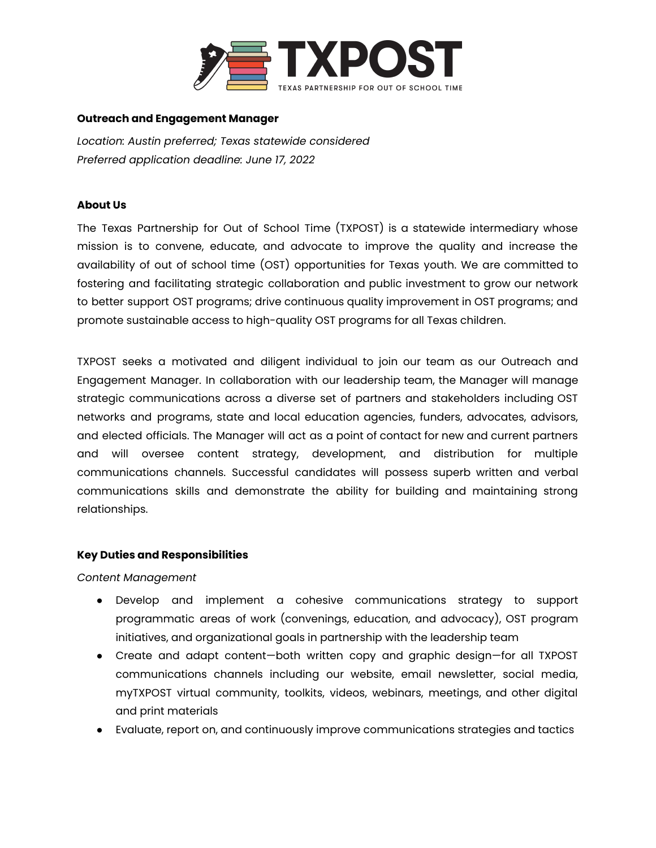

#### **Outreach and Engagement Manager**

*Location: Austin preferred; Texas statewide considered Preferred application deadline: June 17, 2022*

### **About Us**

The Texas Partnership for Out of School Time (TXPOST) is a statewide intermediary whose mission is to convene, educate, and advocate to improve the quality and increase the availability of out of school time (OST) opportunities for Texas youth. We are committed to fostering and facilitating strategic collaboration and public investment to grow our network to better support OST programs; drive continuous quality improvement in OST programs; and promote sustainable access to high-quality OST programs for all Texas children.

TXPOST seeks a motivated and diligent individual to join our team as our Outreach and Engagement Manager. In collaboration with our leadership team, the Manager will manage strategic communications across a diverse set of partners and stakeholders including OST networks and programs, state and local education agencies, funders, advocates, advisors, and elected officials. The Manager will act as a point of contact for new and current partners and will oversee content strategy, development, and distribution for multiple communications channels. Successful candidates will possess superb written and verbal communications skills and demonstrate the ability for building and maintaining strong relationships.

## **Key Duties and Responsibilities**

*Content Management*

- Develop and implement a cohesive communications strategy to support programmatic areas of work (convenings, education, and advocacy), OST program initiatives, and organizational goals in partnership with the leadership team
- Create and adapt content—both written copy and graphic design—for all TXPOST communications channels including our website, email newsletter, social media, myTXPOST virtual community, toolkits, videos, webinars, meetings, and other digital and print materials
- Evaluate, report on, and continuously improve communications strategies and tactics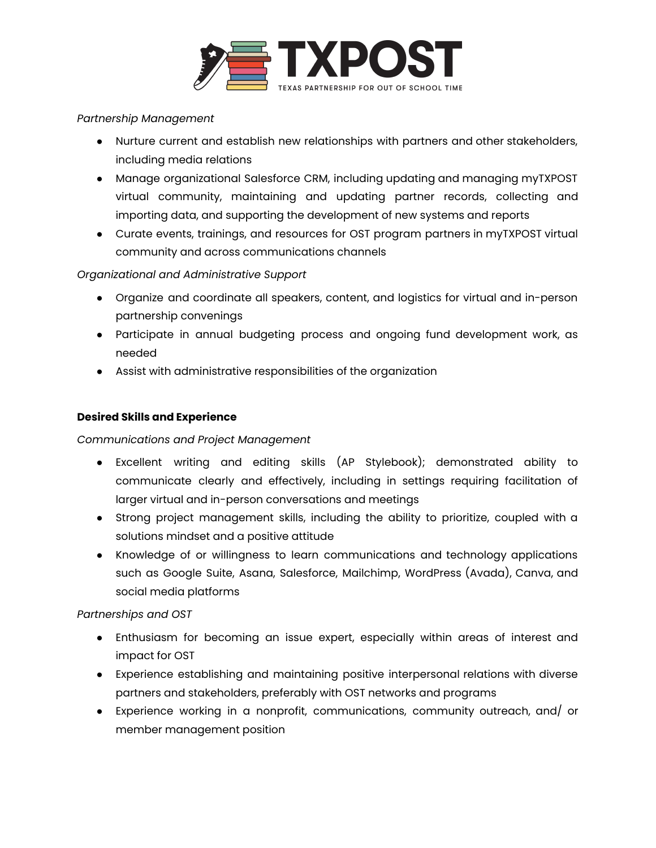

## *Partnership Management*

- Nurture current and establish new relationships with partners and other stakeholders, including media relations
- Manage organizational Salesforce CRM, including updating and managing myTXPOST virtual community, maintaining and updating partner records, collecting and importing data, and supporting the development of new systems and reports
- Curate events, trainings, and resources for OST program partners in myTXPOST virtual community and across communications channels

# *Organizational and Administrative Support*

- Organize and coordinate all speakers, content, and logistics for virtual and in-person partnership convenings
- Participate in annual budgeting process and ongoing fund development work, as needed
- Assist with administrative responsibilities of the organization

## **Desired Skills and Experience**

*Communications and Project Management*

- Excellent writing and editing skills (AP Stylebook); demonstrated ability to communicate clearly and effectively, including in settings requiring facilitation of larger virtual and in-person conversations and meetings
- Strong project management skills, including the ability to prioritize, coupled with a solutions mindset and a positive attitude
- Knowledge of or willingness to learn communications and technology applications such as Google Suite, Asana, Salesforce, Mailchimp, WordPress (Avada), Canva, and social media platforms

## *Partnerships and OST*

- Enthusiasm for becoming an issue expert, especially within areas of interest and impact for OST
- Experience establishing and maintaining positive interpersonal relations with diverse partners and stakeholders, preferably with OST networks and programs
- Experience working in a nonprofit, communications, community outreach, and/ or member management position